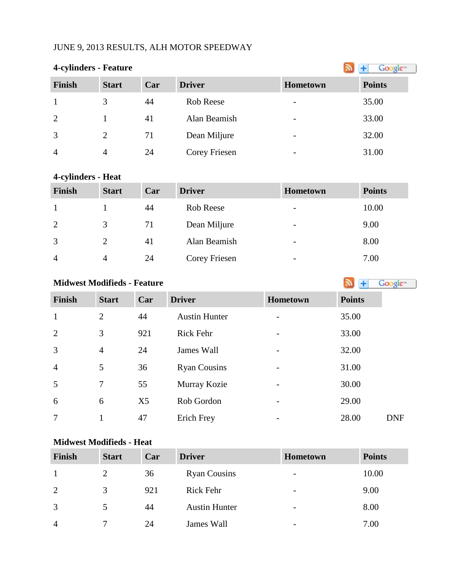## JUNE 9, 2013 RESULTS, ALH MOTOR SPEEDWAY

### **4-cylinders - Feature**

| $\cdot$        |              |     |               |                          |               |
|----------------|--------------|-----|---------------|--------------------------|---------------|
| <b>Finish</b>  | <b>Start</b> | Car | <b>Driver</b> | <b>Hometown</b>          | <b>Points</b> |
|                |              | 44  | Rob Reese     | $\overline{\phantom{0}}$ | 35.00         |
| 2              |              | 41  | Alan Beamish  | -                        | 33.00         |
| 3              | 2            | 71  | Dean Miljure  | $\overline{\phantom{0}}$ | 32.00         |
| $\overline{4}$ | 4            | 24  | Corey Friesen |                          | 31.00         |

#### **4-cylinders - Heat**

| <b>Finish</b>  | <b>Start</b>  | Car | <b>Driver</b> | Hometown                 | <b>Points</b> |
|----------------|---------------|-----|---------------|--------------------------|---------------|
|                |               | 44  | Rob Reese     | $\overline{\phantom{a}}$ | 10.00         |
| 2              | 3             | 71  | Dean Miljure  | $\overline{\phantom{a}}$ | 9.00          |
| 3              | $\mathcal{D}$ | 41  | Alan Beamish  | $\overline{\phantom{a}}$ | 8.00          |
| $\overline{4}$ | 4             | 24  | Corey Friesen | $\overline{\phantom{a}}$ | 7.00          |

# **Midwest Modifieds - Feature**

| <b>Finish</b>  | <b>Start</b>   | Car            | <b>Driver</b>        | <b>Hometown</b>          | <b>Points</b>       |
|----------------|----------------|----------------|----------------------|--------------------------|---------------------|
| $\mathbf{1}$   | $\overline{2}$ | 44             | <b>Austin Hunter</b> |                          | 35.00               |
| 2              | 3              | 921            | Rick Fehr            | $\overline{a}$           | 33.00               |
| $\overline{3}$ | $\overline{4}$ | 24             | James Wall           | $\overline{a}$           | 32.00               |
| $\overline{4}$ | 5              | 36             | <b>Ryan Cousins</b>  | $\overline{\phantom{0}}$ | 31.00               |
| 5              | 7              | 55             | Murray Kozie         | -                        | 30.00               |
| 6              | 6              | X <sub>5</sub> | Rob Gordon           |                          | 29.00               |
| 7              | 1              | 47             | Erich Frey           | $\overline{\phantom{0}}$ | 28.00<br><b>DNF</b> |

#### **Midwest Modifieds - Heat**

| <b>Finish</b>  | <b>Start</b> | Car | <b>Driver</b>        | <b>Hometown</b>          | <b>Points</b> |
|----------------|--------------|-----|----------------------|--------------------------|---------------|
|                |              | 36  | <b>Ryan Cousins</b>  | $\overline{\phantom{a}}$ | 10.00         |
| 2              | 3            | 921 | <b>Rick Fehr</b>     | $\overline{\phantom{a}}$ | 9.00          |
| 3              |              | 44  | <b>Austin Hunter</b> | $\overline{\phantom{a}}$ | 8.00          |
| $\overline{A}$ |              | 24  | James Wall           | $\overline{\phantom{0}}$ | 7.00          |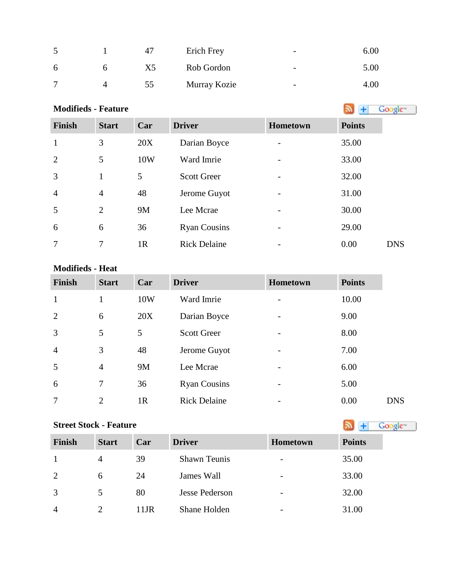|                | 4  | Erich Frey   | $\overline{\phantom{0}}$ | 6.00 |
|----------------|----|--------------|--------------------------|------|
| <sub>6</sub>   | X5 | Rob Gordon   | $\overline{\phantom{0}}$ | 5.00 |
| $\overline{ }$ | 55 | Murray Kozie | $\overline{\phantom{0}}$ | 4.00 |

| <b>Modifieds - Feature</b> |                | Google <sup>®</sup> |                     |                              |               |            |
|----------------------------|----------------|---------------------|---------------------|------------------------------|---------------|------------|
| <b>Finish</b>              | <b>Start</b>   | Car                 | <b>Driver</b>       | Hometown                     | <b>Points</b> |            |
| $\mathbf{1}$               | 3              | 20X                 | Darian Boyce        | $\overline{\phantom{a}}$     | 35.00         |            |
| 2                          | 5              | 10W                 | Ward Imrie          | $\overline{\phantom{a}}$     | 33.00         |            |
| 3                          | $\mathbf{1}$   | 5                   | <b>Scott Greer</b>  | $\overline{\phantom{a}}$     | 32.00         |            |
| $\overline{4}$             | $\overline{4}$ | 48                  | Jerome Guyot        | -                            | 31.00         |            |
| 5                          | $\overline{2}$ | 9M                  | Lee Mcrae           | $\overline{\phantom{a}}$     | 30.00         |            |
| 6                          | 6              | 36                  | <b>Ryan Cousins</b> | $\qquad \qquad \blacksquare$ | 29.00         |            |
| 7                          | 7              | 1R                  | <b>Rick Delaine</b> | $\overline{\phantom{a}}$     | 0.00          | <b>DNS</b> |

#### **Modifieds - Heat**

| <b>Finish</b>  | <b>Start</b>   | Car | <b>Driver</b>       | Hometown                 | <b>Points</b> |            |
|----------------|----------------|-----|---------------------|--------------------------|---------------|------------|
| $\mathbf{1}$   | -1             | 10W | Ward Imrie          | $\overline{\phantom{0}}$ | 10.00         |            |
| 2              | 6              | 20X | Darian Boyce        | -                        | 9.00          |            |
| $\overline{3}$ | 5              | 5   | <b>Scott Greer</b>  | $\overline{\phantom{a}}$ | 8.00          |            |
| $\overline{4}$ | 3              | 48  | Jerome Guyot        |                          | 7.00          |            |
| 5              | $\overline{4}$ | 9M  | Lee Mcrae           | $\qquad \qquad$          | 6.00          |            |
| 6              | $\overline{7}$ | 36  | <b>Ryan Cousins</b> |                          | 5.00          |            |
| $\overline{7}$ | $\overline{2}$ | 1R  | <b>Rick Delaine</b> | $\qquad \qquad$          | 0.00          | <b>DNS</b> |

#### **Street Stock - Feature**

| <b>Points</b> |  |  |
|---------------|--|--|

| <b>Finish</b>  | <b>Start</b> | Car     | <b>Driver</b>       | <b>Hometown</b>          | <b>Points</b> |
|----------------|--------------|---------|---------------------|--------------------------|---------------|
|                | 4            | 39      | <b>Shawn Teunis</b> | $\overline{\phantom{a}}$ | 35.00         |
| 2              | 6            | 24      | James Wall          | $\overline{\phantom{a}}$ | 33.00         |
| 3              | 5            | 80      | Jesse Pederson      | $\overline{\phantom{0}}$ | 32.00         |
| $\overline{4}$ |              | $11$ JR | Shane Holden        | -                        | 31.00         |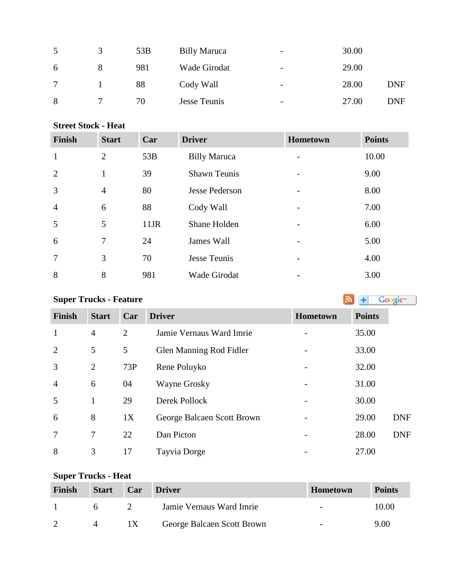|   | $\mathcal{R}$ | 53B | <b>Billy Maruca</b> | $\overline{\phantom{0}}$ | 30.00 |            |
|---|---------------|-----|---------------------|--------------------------|-------|------------|
| 6 | 8             | 981 | Wade Girodat        | $\overline{\phantom{0}}$ | 29.00 |            |
|   |               | 88  | Cody Wall           | -                        | 28.00 | DNF        |
| 8 |               | 70  | Jesse Teunis        | $\overline{\phantom{0}}$ | 27.00 | <b>DNF</b> |

#### **Street Stock - Heat**

| <b>Finish</b>  | <b>Start</b>   | Car     | <b>Driver</b>         | Hometown | <b>Points</b> |
|----------------|----------------|---------|-----------------------|----------|---------------|
| $\mathbf{1}$   | $\overline{2}$ | 53B     | <b>Billy Maruca</b>   |          | 10.00         |
| $\overline{2}$ | 1              | 39      | <b>Shawn Teunis</b>   |          | 9.00          |
| 3              | $\overline{4}$ | 80      | <b>Jesse Pederson</b> |          | 8.00          |
| $\overline{4}$ | 6              | 88      | Cody Wall             |          | 7.00          |
| 5              | $\mathfrak{S}$ | $11$ JR | Shane Holden          |          | 6.00          |
| 6              | $\tau$         | 24      | James Wall            |          | 5.00          |
| 7              | 3              | 70      | <b>Jesse Teunis</b>   |          | 4.00          |
| 8              | 8              | 981     | <b>Wade Girodat</b>   |          | 3.00          |

| <b>Super Trucks - Feature</b> |                |                |                            |          |               | Google <sup>®</sup> |
|-------------------------------|----------------|----------------|----------------------------|----------|---------------|---------------------|
| <b>Finish</b>                 | <b>Start</b>   | Car            | <b>Driver</b>              | Hometown | <b>Points</b> |                     |
| $\mathbf{1}$                  | $\overline{4}$ | $\overline{2}$ | Jamie Vernaus Ward Imrie   |          | 35.00         |                     |
| $\overline{2}$                | 5              | 5              | Glen Manning Rod Fidler    |          | 33.00         |                     |
| 3                             | $\overline{2}$ | 73P            | Rene Poluyko               |          | 32.00         |                     |
| $\overline{4}$                | 6              | 04             | Wayne Grosky               |          | 31.00         |                     |
| 5                             | 1              | 29             | Derek Pollock              |          | 30.00         |                     |
| 6                             | 8              | 1X             | George Balcaen Scott Brown |          | 29.00         | <b>DNF</b>          |
| 7                             | 7              | 22             | Dan Picton                 |          | 28.00         | <b>DNF</b>          |
| 8                             | 3              | 17             | Tayvia Dorge               |          | 27.00         |                     |

# **Super Trucks - Heat**

| Finish | <b>Start</b> | Car           | <b>Driver</b>              | <b>Hometown</b>          | <b>Points</b> |
|--------|--------------|---------------|----------------------------|--------------------------|---------------|
|        |              | $\mathcal{D}$ | Jamie Vernaus Ward Imrie   | $\overline{\phantom{a}}$ | 10.00         |
|        |              | 1X            | George Balcaen Scott Brown | $\overline{\phantom{a}}$ | 9.00          |